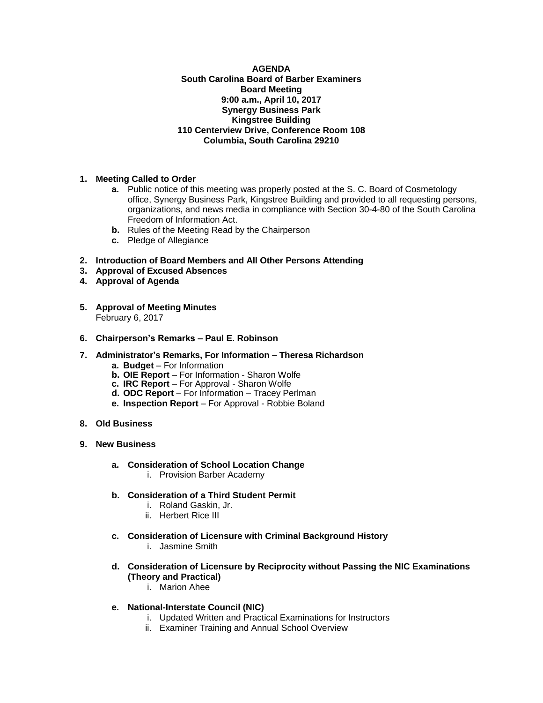## **AGENDA South Carolina Board of Barber Examiners Board Meeting 9:00 a.m., April 10, 2017 Synergy Business Park Kingstree Building 110 Centerview Drive, Conference Room 108 Columbia, South Carolina 29210**

## **1. Meeting Called to Order**

- **a.** Public notice of this meeting was properly posted at the S. C. Board of Cosmetology office, Synergy Business Park, Kingstree Building and provided to all requesting persons, organizations, and news media in compliance with Section 30-4-80 of the South Carolina Freedom of Information Act.
- **b.** Rules of the Meeting Read by the Chairperson
- **c.** Pledge of Allegiance
- **2. Introduction of Board Members and All Other Persons Attending**
- **3. Approval of Excused Absences**
- **4. Approval of Agenda**
- **5. Approval of Meeting Minutes** February 6, 2017
- **6. Chairperson's Remarks – Paul E. Robinson**
- **7. Administrator's Remarks, For Information – Theresa Richardson**
	- **a. Budget** For Information
	- **b. OIE Report**  For Information Sharon Wolfe
	- **c. IRC Report**  For Approval Sharon Wolfe
	- **d. ODC Report**  For Information Tracey Perlman
	- **e. Inspection Report** For Approval Robbie Boland
- **8. Old Business**
- **9. New Business**
	- **a. Consideration of School Location Change**
		- i. Provision Barber Academy
	- **b. Consideration of a Third Student Permit**
		- i. Roland Gaskin, Jr.
		- ii. Herbert Rice III
	- **c. Consideration of Licensure with Criminal Background History**
		- i. Jasmine Smith
	- **d. Consideration of Licensure by Reciprocity without Passing the NIC Examinations (Theory and Practical)**
		- i. Marion Ahee
	- **e. National-Interstate Council (NIC)** 
		- i. Updated Written and Practical Examinations for Instructors
		- ii. Examiner Training and Annual School Overview